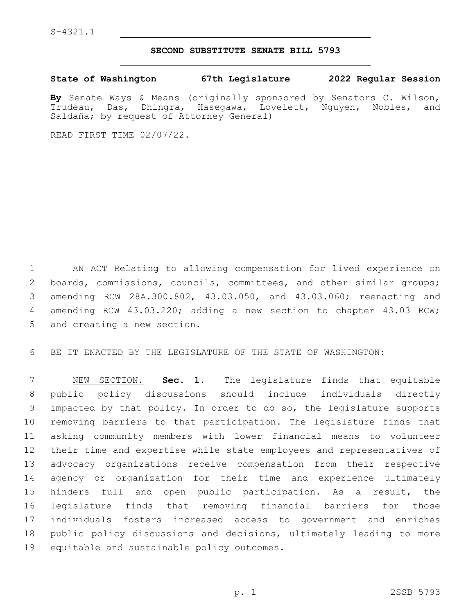## **SECOND SUBSTITUTE SENATE BILL 5793**

**State of Washington 67th Legislature 2022 Regular Session**

**By** Senate Ways & Means (originally sponsored by Senators C. Wilson, Trudeau, Das, Dhingra, Hasegawa, Lovelett, Nguyen, Nobles, and Saldaña; by request of Attorney General)

READ FIRST TIME 02/07/22.

 AN ACT Relating to allowing compensation for lived experience on 2 boards, commissions, councils, committees, and other similar groups; amending RCW 28A.300.802, 43.03.050, and 43.03.060; reenacting and amending RCW 43.03.220; adding a new section to chapter 43.03 RCW; 5 and creating a new section.

BE IT ENACTED BY THE LEGISLATURE OF THE STATE OF WASHINGTON:

 NEW SECTION. **Sec. 1.** The legislature finds that equitable public policy discussions should include individuals directly impacted by that policy. In order to do so, the legislature supports removing barriers to that participation. The legislature finds that asking community members with lower financial means to volunteer their time and expertise while state employees and representatives of advocacy organizations receive compensation from their respective agency or organization for their time and experience ultimately hinders full and open public participation. As a result, the legislature finds that removing financial barriers for those individuals fosters increased access to government and enriches public policy discussions and decisions, ultimately leading to more equitable and sustainable policy outcomes.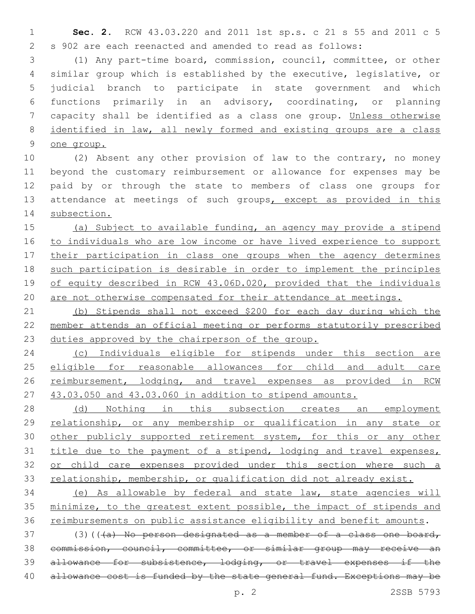**Sec. 2.** RCW 43.03.220 and 2011 1st sp.s. c 21 s 55 and 2011 c 5 s 902 are each reenacted and amended to read as follows:

 (1) Any part-time board, commission, council, committee, or other similar group which is established by the executive, legislative, or judicial branch to participate in state government and which functions primarily in an advisory, coordinating, or planning capacity shall be identified as a class one group. Unless otherwise identified in law, all newly formed and existing groups are a class one group.

 (2) Absent any other provision of law to the contrary, no money beyond the customary reimbursement or allowance for expenses may be paid by or through the state to members of class one groups for 13 attendance at meetings of such groups, except as provided in this subsection.

 (a) Subject to available funding, an agency may provide a stipend to individuals who are low income or have lived experience to support 17 their participation in class one groups when the agency determines such participation is desirable in order to implement the principles 19 of equity described in RCW 43.06D.020, provided that the individuals are not otherwise compensated for their attendance at meetings.

 (b) Stipends shall not exceed \$200 for each day during which the member attends an official meeting or performs statutorily prescribed duties approved by the chairperson of the group.

 (c) Individuals eligible for stipends under this section are 25 eligible for reasonable allowances for child and adult care 26 reimbursement, lodging, and travel expenses as provided in RCW 43.03.050 and 43.03.060 in addition to stipend amounts.

28 (d) Nothing in this subsection creates an employment relationship, or any membership or qualification in any state or 30 other publicly supported retirement system, for this or any other 31 title due to the payment of a stipend, lodging and travel expenses, 32 or child care expenses provided under this section where such a 33 relationship, membership, or qualification did not already exist.

 (e) As allowable by federal and state law, state agencies will minimize, to the greatest extent possible, the impact of stipends and reimbursements on public assistance eligibility and benefit amounts.

 (3)(( $\overline{a}$ ) No person designated as a member of a class one board, commission, council, committee, or similar group may receive an allowance for subsistence, lodging, or travel expenses if the 40 allowance cost is funded by the state general fund. Exceptions may be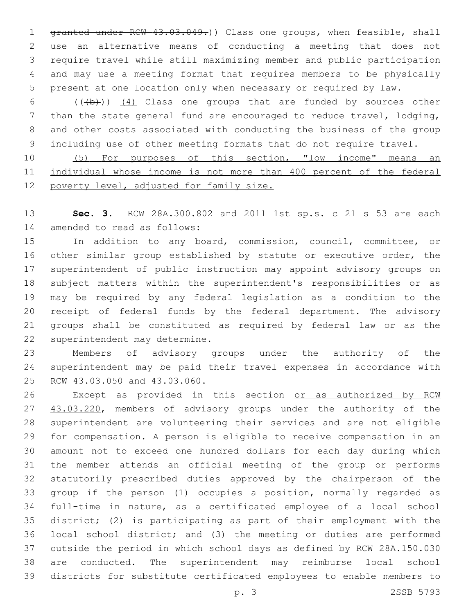1 granted under RCW 43.03.049.)) Class one groups, when feasible, shall use an alternative means of conducting a meeting that does not require travel while still maximizing member and public participation and may use a meeting format that requires members to be physically present at one location only when necessary or required by law.

6 (((b)) (4) Class one groups that are funded by sources other than the state general fund are encouraged to reduce travel, lodging, and other costs associated with conducting the business of the group including use of other meeting formats that do not require travel.

10 (5) For purposes of this section, "low income" means an individual whose income is not more than 400 percent of the federal 12 poverty level, adjusted for family size.

 **Sec. 3.** RCW 28A.300.802 and 2011 1st sp.s. c 21 s 53 are each 14 amended to read as follows:

 In addition to any board, commission, council, committee, or other similar group established by statute or executive order, the superintendent of public instruction may appoint advisory groups on subject matters within the superintendent's responsibilities or as may be required by any federal legislation as a condition to the receipt of federal funds by the federal department. The advisory groups shall be constituted as required by federal law or as the 22 superintendent may determine.

 Members of advisory groups under the authority of the superintendent may be paid their travel expenses in accordance with 25 RCW 43.03.050 and 43.03.060.

26 Except as provided in this section or as authorized by RCW 27 43.03.220, members of advisory groups under the authority of the superintendent are volunteering their services and are not eligible for compensation. A person is eligible to receive compensation in an amount not to exceed one hundred dollars for each day during which the member attends an official meeting of the group or performs statutorily prescribed duties approved by the chairperson of the group if the person (1) occupies a position, normally regarded as full-time in nature, as a certificated employee of a local school district; (2) is participating as part of their employment with the local school district; and (3) the meeting or duties are performed outside the period in which school days as defined by RCW 28A.150.030 are conducted. The superintendent may reimburse local school districts for substitute certificated employees to enable members to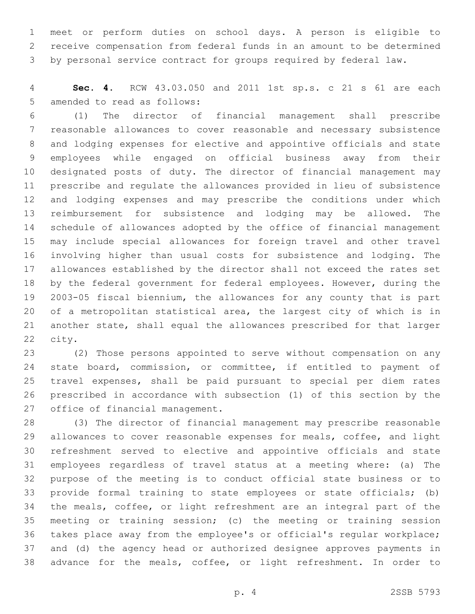meet or perform duties on school days. A person is eligible to receive compensation from federal funds in an amount to be determined by personal service contract for groups required by federal law.

 **Sec. 4.** RCW 43.03.050 and 2011 1st sp.s. c 21 s 61 are each 5 amended to read as follows:

 (1) The director of financial management shall prescribe reasonable allowances to cover reasonable and necessary subsistence and lodging expenses for elective and appointive officials and state employees while engaged on official business away from their designated posts of duty. The director of financial management may prescribe and regulate the allowances provided in lieu of subsistence and lodging expenses and may prescribe the conditions under which reimbursement for subsistence and lodging may be allowed. The schedule of allowances adopted by the office of financial management may include special allowances for foreign travel and other travel involving higher than usual costs for subsistence and lodging. The allowances established by the director shall not exceed the rates set by the federal government for federal employees. However, during the 2003-05 fiscal biennium, the allowances for any county that is part of a metropolitan statistical area, the largest city of which is in another state, shall equal the allowances prescribed for that larger 22 city.

 (2) Those persons appointed to serve without compensation on any 24 state board, commission, or committee, if entitled to payment of travel expenses, shall be paid pursuant to special per diem rates prescribed in accordance with subsection (1) of this section by the 27 office of financial management.

 (3) The director of financial management may prescribe reasonable allowances to cover reasonable expenses for meals, coffee, and light refreshment served to elective and appointive officials and state employees regardless of travel status at a meeting where: (a) The purpose of the meeting is to conduct official state business or to provide formal training to state employees or state officials; (b) the meals, coffee, or light refreshment are an integral part of the meeting or training session; (c) the meeting or training session takes place away from the employee's or official's regular workplace; and (d) the agency head or authorized designee approves payments in advance for the meals, coffee, or light refreshment. In order to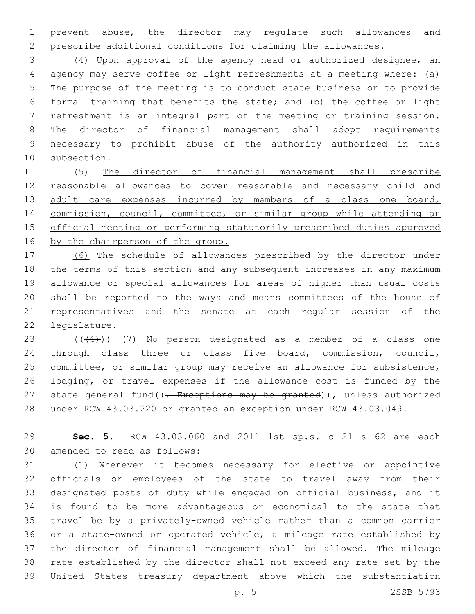prevent abuse, the director may regulate such allowances and prescribe additional conditions for claiming the allowances.

 (4) Upon approval of the agency head or authorized designee, an agency may serve coffee or light refreshments at a meeting where: (a) The purpose of the meeting is to conduct state business or to provide formal training that benefits the state; and (b) the coffee or light refreshment is an integral part of the meeting or training session. The director of financial management shall adopt requirements necessary to prohibit abuse of the authority authorized in this 10 subsection.

 (5) The director of financial management shall prescribe reasonable allowances to cover reasonable and necessary child and 13 adult care expenses incurred by members of a class one board, commission, council, committee, or similar group while attending an official meeting or performing statutorily prescribed duties approved 16 by the chairperson of the group.

 (6) The schedule of allowances prescribed by the director under the terms of this section and any subsequent increases in any maximum allowance or special allowances for areas of higher than usual costs shall be reported to the ways and means committees of the house of representatives and the senate at each regular session of the 22 legislature.

 $((+6+))$   $(7)$  No person designated as a member of a class one through class three or class five board, commission, council, committee, or similar group may receive an allowance for subsistence, lodging, or travel expenses if the allowance cost is funded by the 27 state general fund((<del>. Exceptions may be granted</del>)), unless authorized 28 under RCW 43.03.220 or granted an exception under RCW 43.03.049.

 **Sec. 5.** RCW 43.03.060 and 2011 1st sp.s. c 21 s 62 are each 30 amended to read as follows:

 (1) Whenever it becomes necessary for elective or appointive officials or employees of the state to travel away from their designated posts of duty while engaged on official business, and it is found to be more advantageous or economical to the state that travel be by a privately-owned vehicle rather than a common carrier or a state-owned or operated vehicle, a mileage rate established by the director of financial management shall be allowed. The mileage rate established by the director shall not exceed any rate set by the United States treasury department above which the substantiation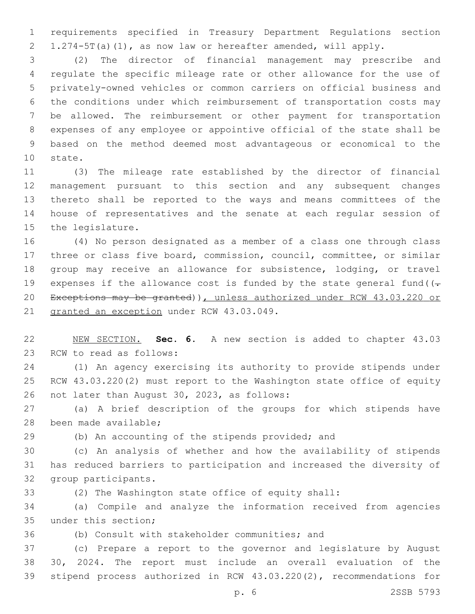requirements specified in Treasury Department Regulations section 1.274-5T(a)(1), as now law or hereafter amended, will apply.

 (2) The director of financial management may prescribe and regulate the specific mileage rate or other allowance for the use of privately-owned vehicles or common carriers on official business and the conditions under which reimbursement of transportation costs may be allowed. The reimbursement or other payment for transportation expenses of any employee or appointive official of the state shall be based on the method deemed most advantageous or economical to the 10 state.

 (3) The mileage rate established by the director of financial management pursuant to this section and any subsequent changes thereto shall be reported to the ways and means committees of the house of representatives and the senate at each regular session of 15 the legislature.

 (4) No person designated as a member of a class one through class three or class five board, commission, council, committee, or similar group may receive an allowance for subsistence, lodging, or travel 19 expenses if the allowance cost is funded by the state general fund  $(-$  Exceptions may be granted)), unless authorized under RCW 43.03.220 or 21 granted an exception under RCW 43.03.049.

 NEW SECTION. **Sec. 6.** A new section is added to chapter 43.03 23 RCW to read as follows:

 (1) An agency exercising its authority to provide stipends under RCW 43.03.220(2) must report to the Washington state office of equity 26 not later than August 30, 2023, as follows:

 (a) A brief description of the groups for which stipends have 28 been made available;

(b) An accounting of the stipends provided; and

 (c) An analysis of whether and how the availability of stipends has reduced barriers to participation and increased the diversity of 32 group participants.

(2) The Washington state office of equity shall:

 (a) Compile and analyze the information received from agencies 35 under this section;

36 (b) Consult with stakeholder communities; and

 (c) Prepare a report to the governor and legislature by August 30, 2024. The report must include an overall evaluation of the stipend process authorized in RCW 43.03.220(2), recommendations for